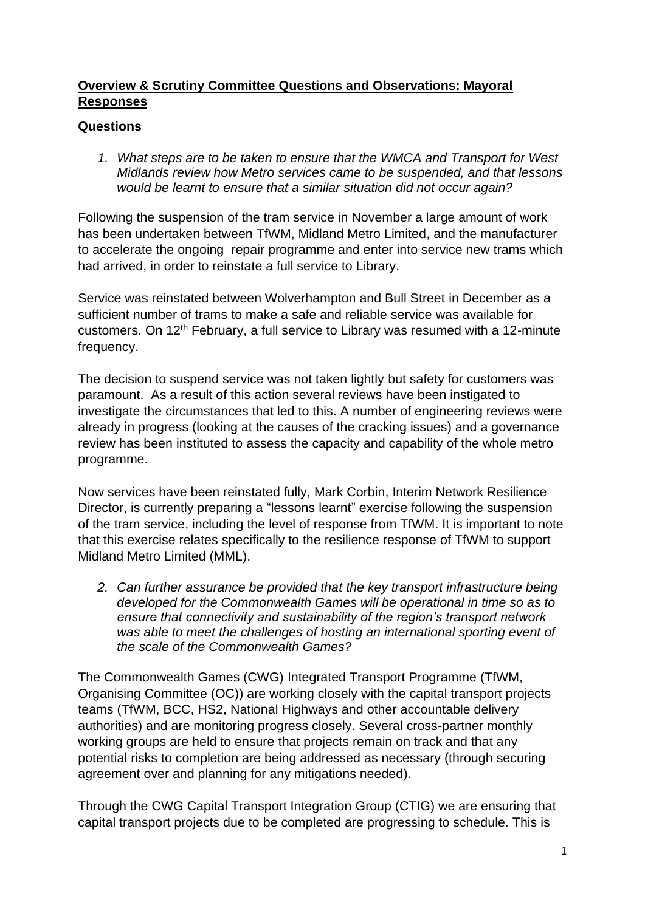## **Overview & Scrutiny Committee Questions and Observations: Mayoral Responses**

## **Questions**

*1. What steps are to be taken to ensure that the WMCA and Transport for West Midlands review how Metro services came to be suspended, and that lessons would be learnt to ensure that a similar situation did not occur again?* 

Following the suspension of the tram service in November a large amount of work has been undertaken between TfWM, Midland Metro Limited, and the manufacturer to accelerate the ongoing repair programme and enter into service new trams which had arrived, in order to reinstate a full service to Library.

Service was reinstated between Wolverhampton and Bull Street in December as a sufficient number of trams to make a safe and reliable service was available for customers. On 12th February, a full service to Library was resumed with a 12-minute frequency.

The decision to suspend service was not taken lightly but safety for customers was paramount. As a result of this action several reviews have been instigated to investigate the circumstances that led to this. A number of engineering reviews were already in progress (looking at the causes of the cracking issues) and a governance review has been instituted to assess the capacity and capability of the whole metro programme.

Now services have been reinstated fully, Mark Corbin, Interim Network Resilience Director, is currently preparing a "lessons learnt" exercise following the suspension of the tram service, including the level of response from TfWM. It is important to note that this exercise relates specifically to the resilience response of TfWM to support Midland Metro Limited (MML).

*2. Can further assurance be provided that the key transport infrastructure being developed for the Commonwealth Games will be operational in time so as to ensure that connectivity and sustainability of the region's transport network was able to meet the challenges of hosting an international sporting event of the scale of the Commonwealth Games?* 

The Commonwealth Games (CWG) Integrated Transport Programme (TfWM, Organising Committee (OC)) are working closely with the capital transport projects teams (TfWM, BCC, HS2, National Highways and other accountable delivery authorities) and are monitoring progress closely. Several cross-partner monthly working groups are held to ensure that projects remain on track and that any potential risks to completion are being addressed as necessary (through securing agreement over and planning for any mitigations needed).

Through the CWG Capital Transport Integration Group (CTIG) we are ensuring that capital transport projects due to be completed are progressing to schedule. This is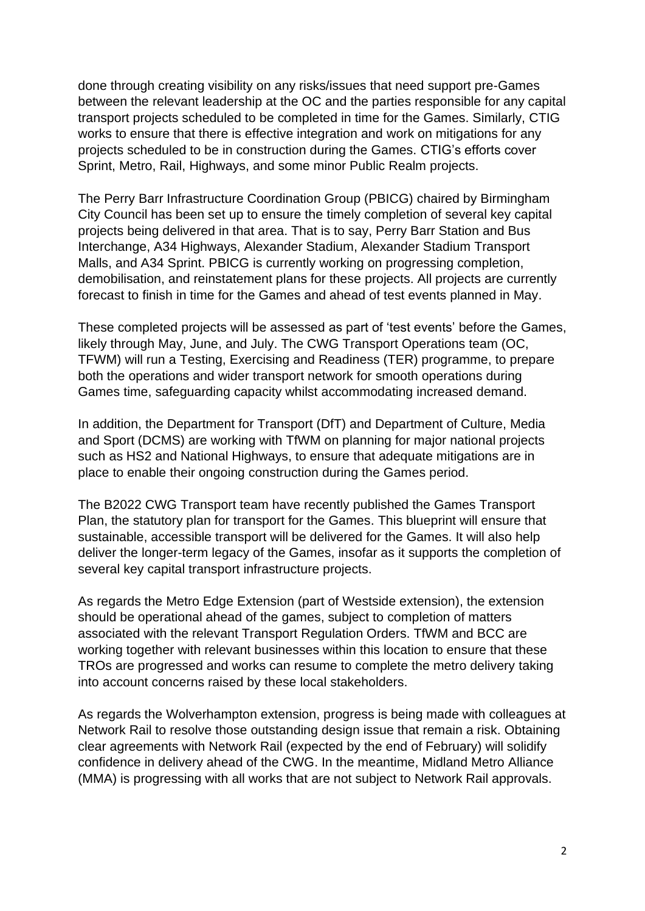done through creating visibility on any risks/issues that need support pre-Games between the relevant leadership at the OC and the parties responsible for any capital transport projects scheduled to be completed in time for the Games. Similarly, CTIG works to ensure that there is effective integration and work on mitigations for any projects scheduled to be in construction during the Games. CTIG's efforts cover Sprint, Metro, Rail, Highways, and some minor Public Realm projects.

The Perry Barr Infrastructure Coordination Group (PBICG) chaired by Birmingham City Council has been set up to ensure the timely completion of several key capital projects being delivered in that area. That is to say, Perry Barr Station and Bus Interchange, A34 Highways, Alexander Stadium, Alexander Stadium Transport Malls, and A34 Sprint. PBICG is currently working on progressing completion, demobilisation, and reinstatement plans for these projects. All projects are currently forecast to finish in time for the Games and ahead of test events planned in May.

These completed projects will be assessed as part of 'test events' before the Games, likely through May, June, and July. The CWG Transport Operations team (OC, TFWM) will run a Testing, Exercising and Readiness (TER) programme, to prepare both the operations and wider transport network for smooth operations during Games time, safeguarding capacity whilst accommodating increased demand.

In addition, the Department for Transport (DfT) and Department of Culture, Media and Sport (DCMS) are working with TfWM on planning for major national projects such as HS2 and National Highways, to ensure that adequate mitigations are in place to enable their ongoing construction during the Games period.

The B2022 CWG Transport team have recently published the Games Transport Plan, the statutory plan for transport for the Games. This blueprint will ensure that sustainable, accessible transport will be delivered for the Games. It will also help deliver the longer-term legacy of the Games, insofar as it supports the completion of several key capital transport infrastructure projects.

As regards the Metro Edge Extension (part of Westside extension), the extension should be operational ahead of the games, subject to completion of matters associated with the relevant Transport Regulation Orders. TfWM and BCC are working together with relevant businesses within this location to ensure that these TROs are progressed and works can resume to complete the metro delivery taking into account concerns raised by these local stakeholders.

As regards the Wolverhampton extension, progress is being made with colleagues at Network Rail to resolve those outstanding design issue that remain a risk. Obtaining clear agreements with Network Rail (expected by the end of February) will solidify confidence in delivery ahead of the CWG. In the meantime, Midland Metro Alliance (MMA) is progressing with all works that are not subject to Network Rail approvals.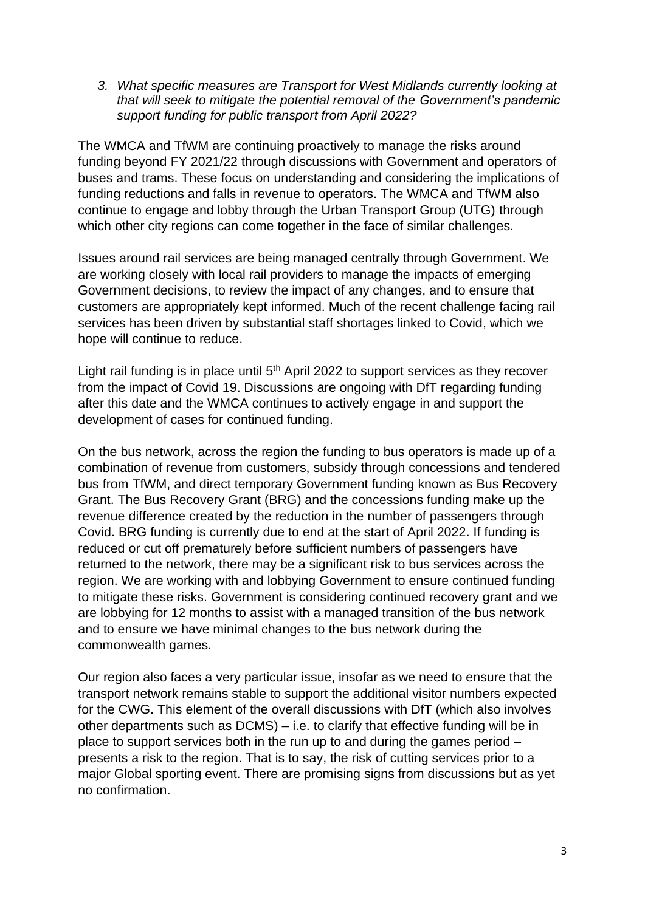*3. What specific measures are Transport for West Midlands currently looking at that will seek to mitigate the potential removal of the Government's pandemic support funding for public transport from April 2022?*

The WMCA and TfWM are continuing proactively to manage the risks around funding beyond FY 2021/22 through discussions with Government and operators of buses and trams. These focus on understanding and considering the implications of funding reductions and falls in revenue to operators. The WMCA and TfWM also continue to engage and lobby through the Urban Transport Group (UTG) through which other city regions can come together in the face of similar challenges.

Issues around rail services are being managed centrally through Government. We are working closely with local rail providers to manage the impacts of emerging Government decisions, to review the impact of any changes, and to ensure that customers are appropriately kept informed. Much of the recent challenge facing rail services has been driven by substantial staff shortages linked to Covid, which we hope will continue to reduce.

Light rail funding is in place until 5<sup>th</sup> April 2022 to support services as they recover from the impact of Covid 19. Discussions are ongoing with DfT regarding funding after this date and the WMCA continues to actively engage in and support the development of cases for continued funding.

On the bus network, across the region the funding to bus operators is made up of a combination of revenue from customers, subsidy through concessions and tendered bus from TfWM, and direct temporary Government funding known as Bus Recovery Grant. The Bus Recovery Grant (BRG) and the concessions funding make up the revenue difference created by the reduction in the number of passengers through Covid. BRG funding is currently due to end at the start of April 2022. If funding is reduced or cut off prematurely before sufficient numbers of passengers have returned to the network, there may be a significant risk to bus services across the region. We are working with and lobbying Government to ensure continued funding to mitigate these risks. Government is considering continued recovery grant and we are lobbying for 12 months to assist with a managed transition of the bus network and to ensure we have minimal changes to the bus network during the commonwealth games.

Our region also faces a very particular issue, insofar as we need to ensure that the transport network remains stable to support the additional visitor numbers expected for the CWG. This element of the overall discussions with DfT (which also involves other departments such as DCMS) – i.e. to clarify that effective funding will be in place to support services both in the run up to and during the games period – presents a risk to the region. That is to say, the risk of cutting services prior to a major Global sporting event. There are promising signs from discussions but as yet no confirmation.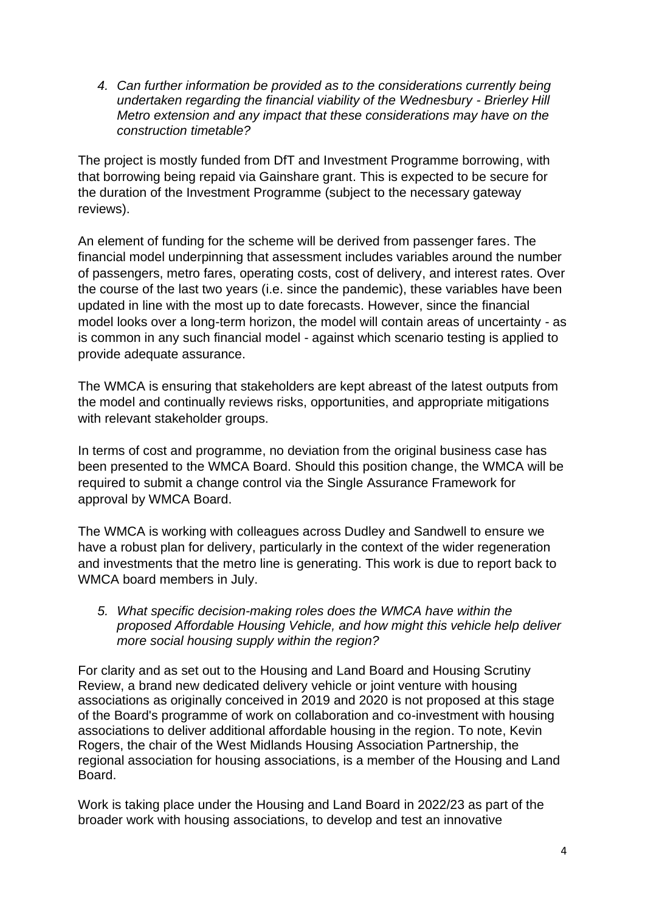*4. Can further information be provided as to the considerations currently being undertaken regarding the financial viability of the Wednesbury - Brierley Hill Metro extension and any impact that these considerations may have on the construction timetable?* 

The project is mostly funded from DfT and Investment Programme borrowing, with that borrowing being repaid via Gainshare grant. This is expected to be secure for the duration of the Investment Programme (subject to the necessary gateway reviews).

An element of funding for the scheme will be derived from passenger fares. The financial model underpinning that assessment includes variables around the number of passengers, metro fares, operating costs, cost of delivery, and interest rates. Over the course of the last two years (i.e. since the pandemic), these variables have been updated in line with the most up to date forecasts. However, since the financial model looks over a long-term horizon, the model will contain areas of uncertainty - as is common in any such financial model - against which scenario testing is applied to provide adequate assurance.

The WMCA is ensuring that stakeholders are kept abreast of the latest outputs from the model and continually reviews risks, opportunities, and appropriate mitigations with relevant stakeholder groups.

In terms of cost and programme, no deviation from the original business case has been presented to the WMCA Board. Should this position change, the WMCA will be required to submit a change control via the Single Assurance Framework for approval by WMCA Board.

The WMCA is working with colleagues across Dudley and Sandwell to ensure we have a robust plan for delivery, particularly in the context of the wider regeneration and investments that the metro line is generating. This work is due to report back to WMCA board members in July.

*5. What specific decision-making roles does the WMCA have within the proposed Affordable Housing Vehicle, and how might this vehicle help deliver more social housing supply within the region?*

For clarity and as set out to the Housing and Land Board and Housing Scrutiny Review, a brand new dedicated delivery vehicle or joint venture with housing associations as originally conceived in 2019 and 2020 is not proposed at this stage of the Board's programme of work on collaboration and co-investment with housing associations to deliver additional affordable housing in the region. To note, Kevin Rogers, the chair of the West Midlands Housing Association Partnership, the regional association for housing associations, is a member of the Housing and Land Board.

Work is taking place under the Housing and Land Board in 2022/23 as part of the broader work with housing associations, to develop and test an innovative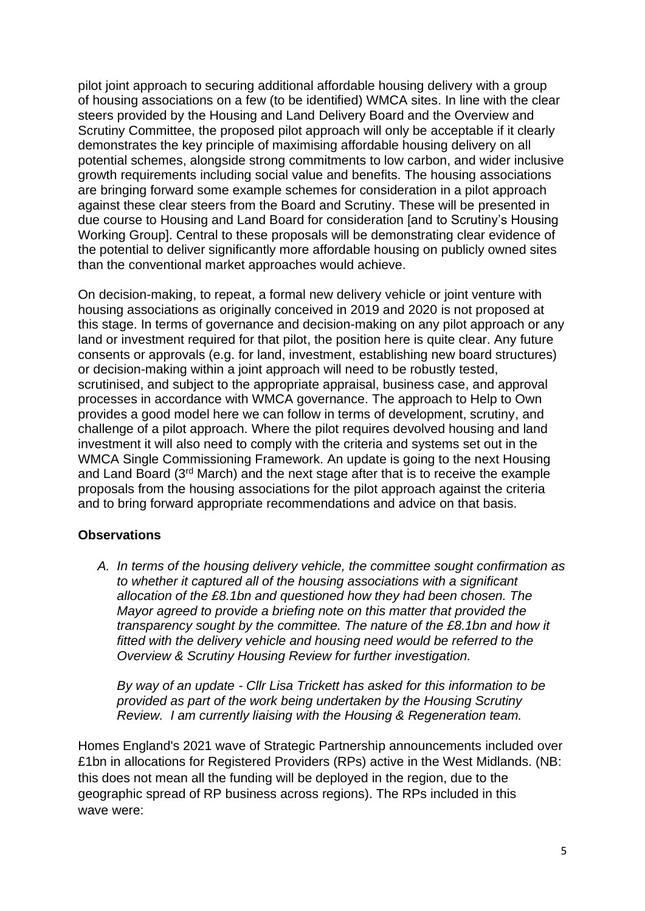pilot joint approach to securing additional affordable housing delivery with a group of housing associations on a few (to be identified) WMCA sites. In line with the clear steers provided by the Housing and Land Delivery Board and the Overview and Scrutiny Committee, the proposed pilot approach will only be acceptable if it clearly demonstrates the key principle of maximising affordable housing delivery on all potential schemes, alongside strong commitments to low carbon, and wider inclusive growth requirements including social value and benefits. The housing associations are bringing forward some example schemes for consideration in a pilot approach against these clear steers from the Board and Scrutiny. These will be presented in due course to Housing and Land Board for consideration [and to Scrutiny's Housing Working Group]. Central to these proposals will be demonstrating clear evidence of the potential to deliver significantly more affordable housing on publicly owned sites than the conventional market approaches would achieve.

On decision-making, to repeat, a formal new delivery vehicle or joint venture with housing associations as originally conceived in 2019 and 2020 is not proposed at this stage. In terms of governance and decision-making on any pilot approach or any land or investment required for that pilot, the position here is quite clear. Any future consents or approvals (e.g. for land, investment, establishing new board structures) or decision-making within a joint approach will need to be robustly tested, scrutinised, and subject to the appropriate appraisal, business case, and approval processes in accordance with WMCA governance. The approach to Help to Own provides a good model here we can follow in terms of development, scrutiny, and challenge of a pilot approach. Where the pilot requires devolved housing and land investment it will also need to comply with the criteria and systems set out in the WMCA Single Commissioning Framework. An update is going to the next Housing and Land Board (3<sup>rd</sup> March) and the next stage after that is to receive the example proposals from the housing associations for the pilot approach against the criteria and to bring forward appropriate recommendations and advice on that basis.

## **Observations**

*A. In terms of the housing delivery vehicle, the committee sought confirmation as to whether it captured all of the housing associations with a significant allocation of the £8.1bn and questioned how they had been chosen. The Mayor agreed to provide a briefing note on this matter that provided the transparency sought by the committee. The nature of the £8.1bn and how it*  fitted with the delivery vehicle and housing need would be referred to the *Overview & Scrutiny Housing Review for further investigation.*

*By way of an update - Cllr Lisa Trickett has asked for this information to be provided as part of the work being undertaken by the Housing Scrutiny Review. I am currently liaising with the Housing & Regeneration team.*

Homes England's 2021 wave of Strategic Partnership announcements included over £1bn in allocations for Registered Providers (RPs) active in the West Midlands. (NB: this does not mean all the funding will be deployed in the region, due to the geographic spread of RP business across regions). The RPs included in this wave were: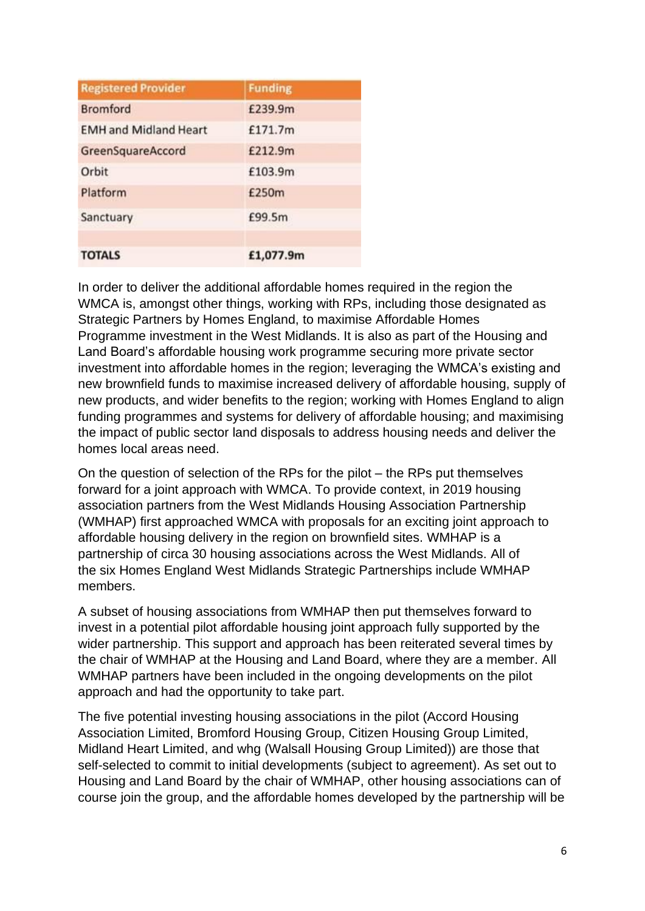| <b>Registered Provider</b>   | <b>Funding</b> |
|------------------------------|----------------|
| <b>Bromford</b>              | £239.9m        |
| <b>EMH and Midland Heart</b> | £171.7m        |
| GreenSquareAccord            | £212.9m        |
| Orbit                        | £103.9m        |
| Platform                     | £250m          |
| Sanctuary                    | £99.5m         |
| <b>TOTALS</b>                | £1,077.9m      |

In order to deliver the additional affordable homes required in the region the WMCA is, amongst other things, working with RPs, including those designated as Strategic Partners by Homes England, to maximise Affordable Homes Programme investment in the West Midlands. It is also as part of the Housing and Land Board's affordable housing work programme securing more private sector investment into affordable homes in the region; leveraging the WMCA's existing and new brownfield funds to maximise increased delivery of affordable housing, supply of new products, and wider benefits to the region; working with Homes England to align funding programmes and systems for delivery of affordable housing; and maximising the impact of public sector land disposals to address housing needs and deliver the homes local areas need.

On the question of selection of the RPs for the pilot – the RPs put themselves forward for a joint approach with WMCA. To provide context, in 2019 housing association partners from the West Midlands Housing Association Partnership (WMHAP) first approached WMCA with proposals for an exciting joint approach to affordable housing delivery in the region on brownfield sites. WMHAP is a partnership of circa 30 housing associations across the West Midlands. All of the six Homes England West Midlands Strategic Partnerships include WMHAP members.

A subset of housing associations from WMHAP then put themselves forward to invest in a potential pilot affordable housing joint approach fully supported by the wider partnership. This support and approach has been reiterated several times by the chair of WMHAP at the Housing and Land Board, where they are a member. All WMHAP partners have been included in the ongoing developments on the pilot approach and had the opportunity to take part.

The five potential investing housing associations in the pilot (Accord Housing Association Limited, Bromford Housing Group, Citizen Housing Group Limited, Midland Heart Limited, and whg (Walsall Housing Group Limited)) are those that self-selected to commit to initial developments (subject to agreement). As set out to Housing and Land Board by the chair of WMHAP, other housing associations can of course join the group, and the affordable homes developed by the partnership will be